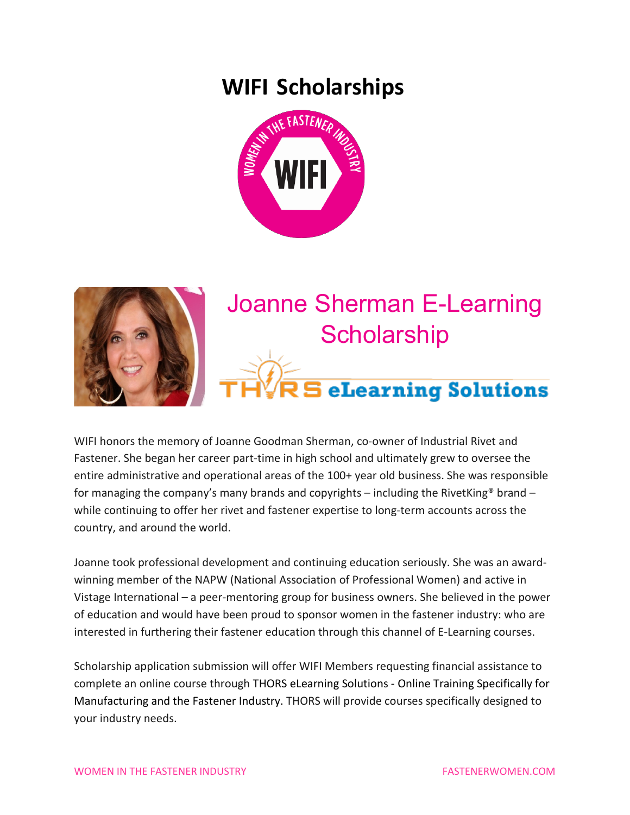### **WIFI Scholarships**





## Joanne Sherman E-Learning **Scholarship**

# <u>.</u><br>3 eLearning Solutions

WIFI honors the memory of Joanne Goodman Sherman, co-owner of Industrial Rivet and Fastener. She began her career part-time in high school and ultimately grew to oversee the entire administrative and operational areas of the 100+ year old business. She was responsible for managing the company's many brands and copyrights – including the RivetKing<sup>®</sup> brand – while continuing to offer her rivet and fastener expertise to long-term accounts across the country, and around the world.

Joanne took professional development and continuing education seriously. She was an awardwinning member of the NAPW (National Association of Professional Women) and active in Vistage International – a peer-mentoring group for business owners. She believed in the power of education and would have been proud to sponsor women in the fastener industry: who are interested in furthering their fastener education through this channel of E-Learning courses.

Scholarship application submission will offer WIFI Members requesting financial assistance to complete an online course through THORS eLearning Solutions - Online Training Specifically for Manufacturing and the Fastener Industry. THORS will provide courses specifically designed to your industry needs.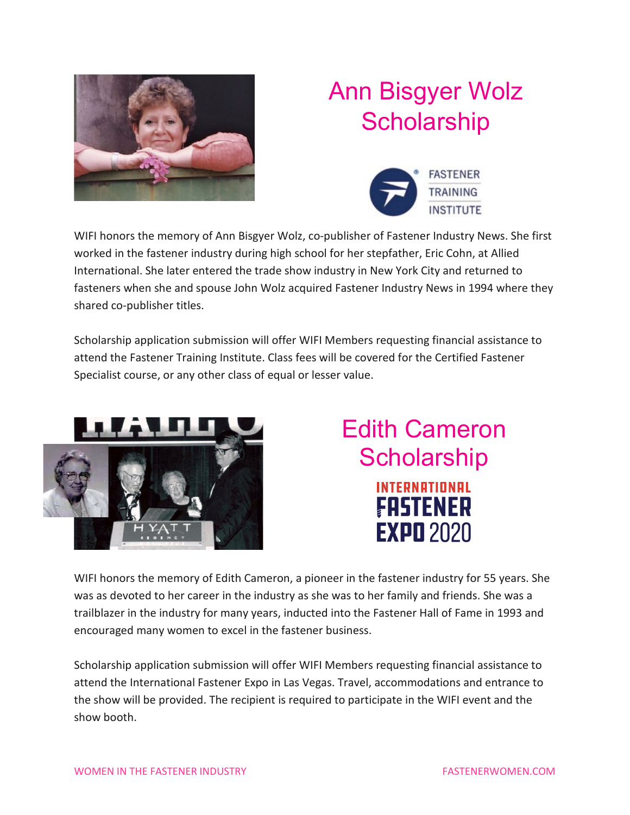

# Ann Bisgyer Wolz **Scholarship**



WIFI honors the memory of Ann Bisgyer Wolz, co-publisher of Fastener Industry News. She first worked in the fastener industry during high school for her stepfather, Eric Cohn, at Allied International. She later entered the trade show industry in New York City and returned to fasteners when she and spouse John Wolz acquired Fastener Industry News in 1994 where they shared co-publisher titles.

Scholarship application submission will offer WIFI Members requesting financial assistance to attend the Fastener Training Institute. Class fees will be covered for the Certified Fastener Specialist course, or any other class of equal or lesser value.



### Edith Cameron **Scholarship** INTERNATIONAL FASTENER **EXPO 2020**

WIFI honors the memory of Edith Cameron, a pioneer in the fastener industry for 55 years. She was as devoted to her career in the industry as she was to her family and friends. She was a trailblazer in the industry for many years, inducted into the Fastener Hall of Fame in 1993 and encouraged many women to excel in the fastener business.

Scholarship application submission will offer WIFI Members requesting financial assistance to attend the International Fastener Expo in Las Vegas. Travel, accommodations and entrance to the show will be provided. The recipient is required to participate in the WIFI event and the show booth.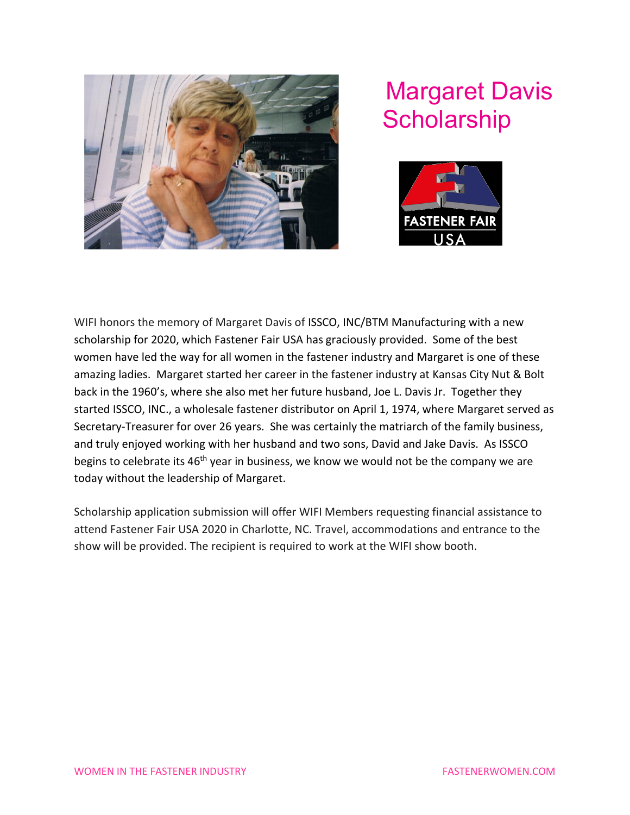

### Margaret Davis **Scholarship**



WIFI honors the memory of Margaret Davis of ISSCO, INC/BTM Manufacturing with a new scholarship for 2020, which Fastener Fair USA has graciously provided. Some of the best women have led the way for all women in the fastener industry and Margaret is one of these amazing ladies. Margaret started her career in the fastener industry at Kansas City Nut & Bolt back in the 1960's, where she also met her future husband, Joe L. Davis Jr. Together they started ISSCO, INC., a wholesale fastener distributor on April 1, 1974, where Margaret served as Secretary-Treasurer for over 26 years. She was certainly the matriarch of the family business, and truly enjoyed working with her husband and two sons, David and Jake Davis. As ISSCO begins to celebrate its 46<sup>th</sup> year in business, we know we would not be the company we are today without the leadership of Margaret.

Scholarship application submission will offer WIFI Members requesting financial assistance to attend Fastener Fair USA 2020 in Charlotte, NC. Travel, accommodations and entrance to the show will be provided. The recipient is required to work at the WIFI show booth.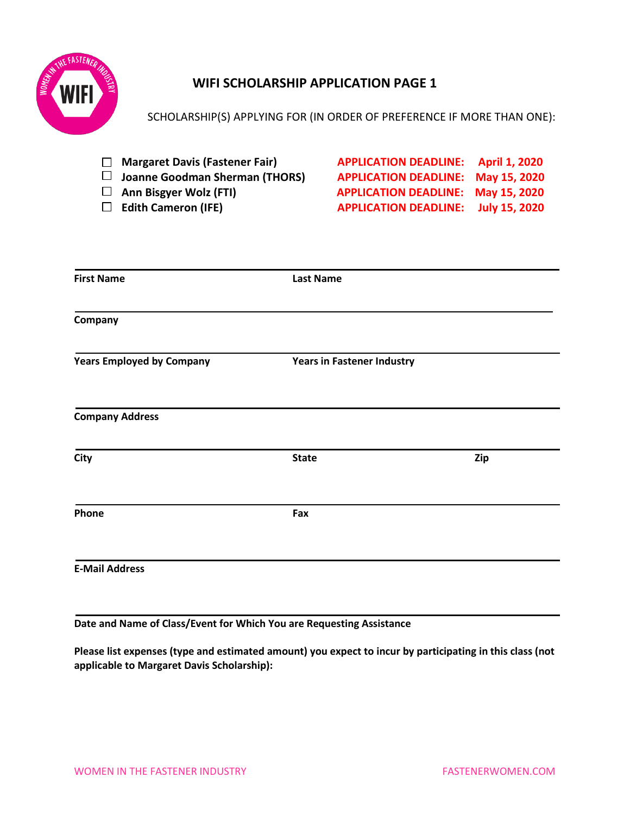

#### **WIFI SCHOLARSHIP APPLICATION PAGE 1**

| <b>Margaret Davis (Fastener Fair)</b><br>$\perp$ | <b>APPLICATION DEADLINE:</b>      | <b>April 1, 2020</b> |
|--------------------------------------------------|-----------------------------------|----------------------|
| <b>Joanne Goodman Sherman (THORS)</b>            | <b>APPLICATION DEADLINE:</b>      | May 15, 2020         |
| Ann Bisgyer Wolz (FTI)<br>$\Box$                 | <b>APPLICATION DEADLINE:</b>      | May 15, 2020         |
| <b>Edith Cameron (IFE)</b>                       | <b>APPLICATION DEADLINE:</b>      | <b>July 15, 2020</b> |
|                                                  |                                   |                      |
| <b>First Name</b>                                | <b>Last Name</b>                  |                      |
|                                                  |                                   |                      |
| Company                                          |                                   |                      |
| <b>Years Employed by Company</b>                 | <b>Years in Fastener Industry</b> |                      |
| <b>Company Address</b>                           |                                   |                      |
| City                                             | <b>State</b>                      | Zip                  |
| Phone                                            | Fax                               |                      |
|                                                  |                                   |                      |
| <b>E-Mail Address</b>                            |                                   |                      |

SCHOLARSHIP(S) APPLYING FOR (IN ORDER OF PREFERENCE IF MORE THAN ONE):

**Date and Name of Class/Event for Which You are Requesting Assistance**

**Please list expenses (type and estimated amount) you expect to incur by participating in this class (not applicable to Margaret Davis Scholarship):**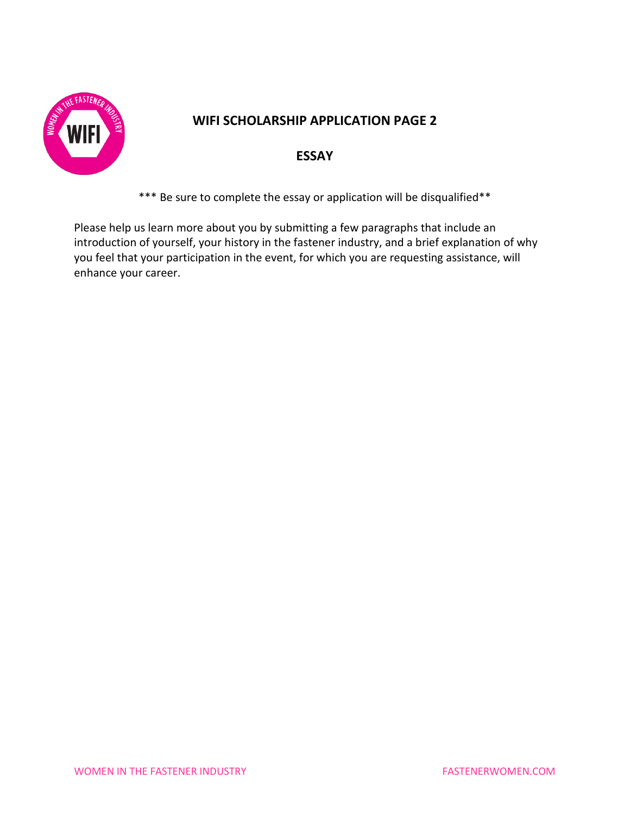

#### **WIFI SCHOLARSHIP APPLICATION PAGE 2**

#### **ESSAY**

\*\*\* Be sure to complete the essay or application will be disqualified\*\*

Please help us learn more about you by submitting a few paragraphs that include an introduction of yourself, your history in the fastener industry, and a brief explanation of why you feel that your participation in the event, for which you are requesting assistance, will enhance your career.